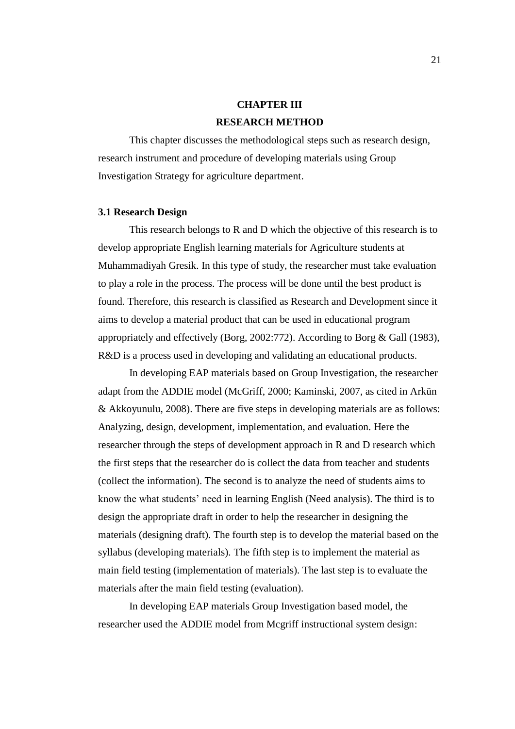# **CHAPTER III RESEARCH METHOD**

This chapter discusses the methodological steps such as research design, research instrument and procedure of developing materials using Group Investigation Strategy for agriculture department.

#### **3.1 Research Design**

This research belongs to R and D which the objective of this research is to develop appropriate English learning materials for Agriculture students at Muhammadiyah Gresik. In this type of study, the researcher must take evaluation to play a role in the process. The process will be done until the best product is found. Therefore, this research is classified as Research and Development since it aims to develop a material product that can be used in educational program appropriately and effectively (Borg, 2002:772). According to Borg & Gall (1983), R&D is a process used in developing and validating an educational products.

In developing EAP materials based on Group Investigation, the researcher adapt from the ADDIE model (McGriff, 2000; Kaminski, 2007, as cited in Arkün & Akkoyunulu, 2008). There are five steps in developing materials are as follows: Analyzing, design, development, implementation, and evaluation. Here the researcher through the steps of development approach in R and D research which the first steps that the researcher do is collect the data from teacher and students (collect the information). The second is to analyze the need of students aims to know the what students' need in learning English (Need analysis). The third is to design the appropriate draft in order to help the researcher in designing the materials (designing draft). The fourth step is to develop the material based on the syllabus (developing materials). The fifth step is to implement the material as main field testing (implementation of materials). The last step is to evaluate the materials after the main field testing (evaluation).

In developing EAP materials Group Investigation based model, the researcher used the ADDIE model from Mcgriff instructional system design: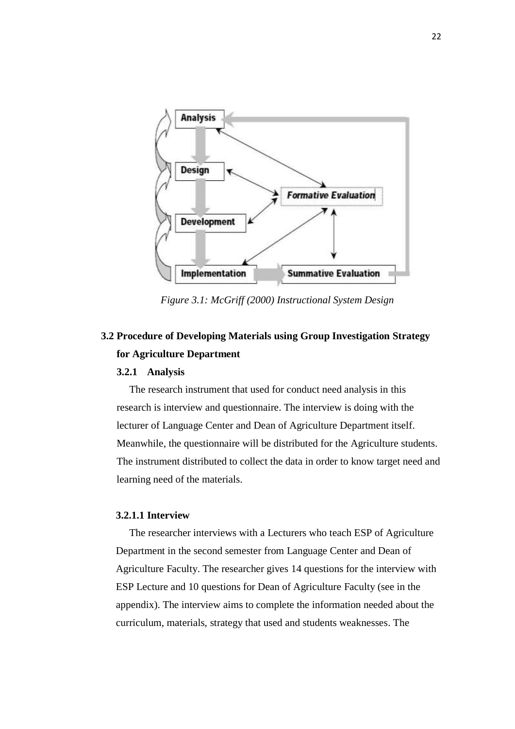

*Figure 3.1: McGriff (2000) Instructional System Design*

# **3.2 Procedure of Developing Materials using Group Investigation Strategy for Agriculture Department**

#### **3.2.1 Analysis**

The research instrument that used for conduct need analysis in this research is interview and questionnaire. The interview is doing with the lecturer of Language Center and Dean of Agriculture Department itself. Meanwhile, the questionnaire will be distributed for the Agriculture students. The instrument distributed to collect the data in order to know target need and learning need of the materials.

#### **3.2.1.1 Interview**

The researcher interviews with a Lecturers who teach ESP of Agriculture Department in the second semester from Language Center and Dean of Agriculture Faculty. The researcher gives 14 questions for the interview with ESP Lecture and 10 questions for Dean of Agriculture Faculty (see in the appendix). The interview aims to complete the information needed about the curriculum, materials, strategy that used and students weaknesses. The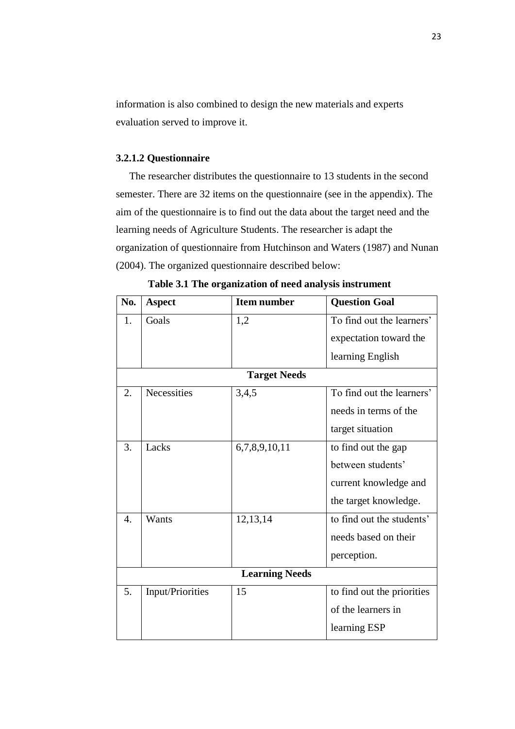information is also combined to design the new materials and experts evaluation served to improve it.

# **3.2.1.2 Questionnaire**

The researcher distributes the questionnaire to 13 students in the second semester. There are 32 items on the questionnaire (see in the appendix). The aim of the questionnaire is to find out the data about the target need and the learning needs of Agriculture Students. The researcher is adapt the organization of questionnaire from Hutchinson and Waters (1987) and Nunan (2004). The organized questionnaire described below:

| No.                   | <b>Aspect</b>    | <b>Item number</b> | <b>Question Goal</b>       |  |  |
|-----------------------|------------------|--------------------|----------------------------|--|--|
| 1.                    | Goals            | 1,2                | To find out the learners'  |  |  |
|                       |                  |                    | expectation toward the     |  |  |
|                       |                  |                    | learning English           |  |  |
| <b>Target Needs</b>   |                  |                    |                            |  |  |
| 2.                    | Necessities      | 3,4,5              | To find out the learners'  |  |  |
|                       |                  |                    | needs in terms of the      |  |  |
|                       |                  |                    | target situation           |  |  |
| 3.                    | Lacks            | 6,7,8,9,10,11      | to find out the gap        |  |  |
|                       |                  |                    | between students'          |  |  |
|                       |                  |                    | current knowledge and      |  |  |
|                       |                  |                    | the target knowledge.      |  |  |
| $\overline{4}$ .      | Wants            | 12,13,14           | to find out the students'  |  |  |
|                       |                  |                    | needs based on their       |  |  |
|                       |                  |                    | perception.                |  |  |
| <b>Learning Needs</b> |                  |                    |                            |  |  |
| 5.                    | Input/Priorities | 15                 | to find out the priorities |  |  |
|                       |                  |                    | of the learners in         |  |  |
|                       |                  |                    | learning ESP               |  |  |

**Table 3.1 The organization of need analysis instrument**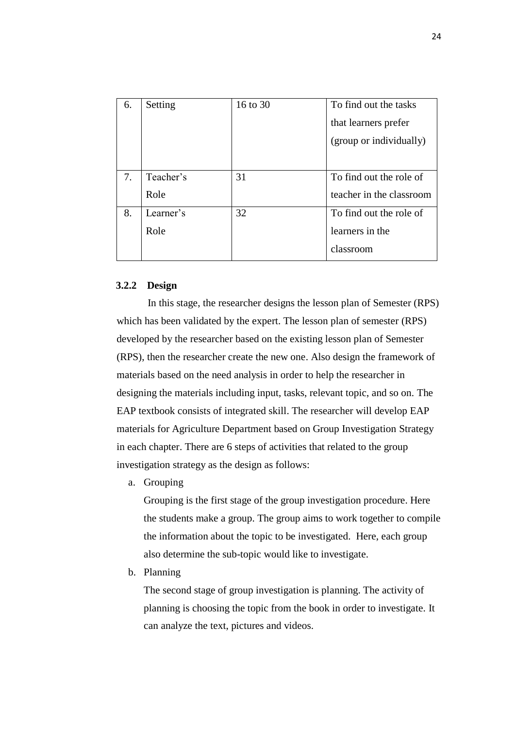|    | 6. | Setting   | 16 to 30 | To find out the tasks    |
|----|----|-----------|----------|--------------------------|
|    |    |           |          | that learners prefer     |
|    |    |           |          | (group or individually)  |
|    |    |           |          |                          |
| 7. |    | Teacher's | 31       | To find out the role of  |
|    |    | Role      |          | teacher in the classroom |
| 8. |    | Learner's | 32       | To find out the role of  |
|    |    | Role      |          | learners in the          |
|    |    |           |          | classroom                |

## **3.2.2 Design**

In this stage, the researcher designs the lesson plan of Semester (RPS) which has been validated by the expert. The lesson plan of semester (RPS) developed by the researcher based on the existing lesson plan of Semester (RPS), then the researcher create the new one. Also design the framework of materials based on the need analysis in order to help the researcher in designing the materials including input, tasks, relevant topic, and so on. The EAP textbook consists of integrated skill. The researcher will develop EAP materials for Agriculture Department based on Group Investigation Strategy in each chapter. There are 6 steps of activities that related to the group investigation strategy as the design as follows:

a. Grouping

Grouping is the first stage of the group investigation procedure. Here the students make a group. The group aims to work together to compile the information about the topic to be investigated. Here, each group also determine the sub-topic would like to investigate.

b. Planning

The second stage of group investigation is planning. The activity of planning is choosing the topic from the book in order to investigate. It can analyze the text, pictures and videos.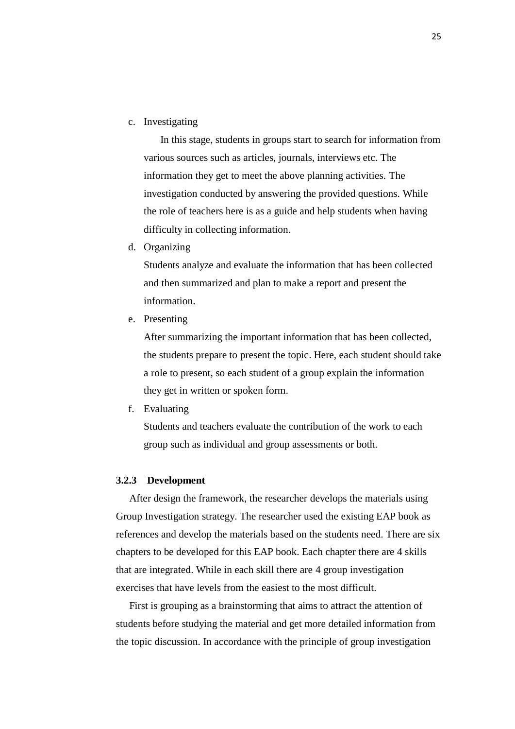c. Investigating

In this stage, students in groups start to search for information from various sources such as articles, journals, interviews etc. The information they get to meet the above planning activities. The investigation conducted by answering the provided questions. While the role of teachers here is as a guide and help students when having difficulty in collecting information.

d. Organizing

Students analyze and evaluate the information that has been collected and then summarized and plan to make a report and present the information.

e. Presenting

After summarizing the important information that has been collected, the students prepare to present the topic. Here, each student should take a role to present, so each student of a group explain the information they get in written or spoken form.

f. Evaluating

Students and teachers evaluate the contribution of the work to each group such as individual and group assessments or both.

## **3.2.3 Development**

After design the framework, the researcher develops the materials using Group Investigation strategy. The researcher used the existing EAP book as references and develop the materials based on the students need. There are six chapters to be developed for this EAP book. Each chapter there are 4 skills that are integrated. While in each skill there are 4 group investigation exercises that have levels from the easiest to the most difficult.

First is grouping as a brainstorming that aims to attract the attention of students before studying the material and get more detailed information from the topic discussion. In accordance with the principle of group investigation